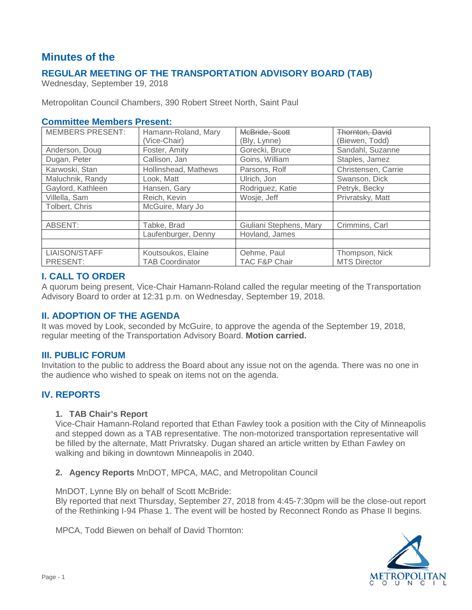# **Minutes of the**

# **REGULAR MEETING OF THE TRANSPORTATION ADVISORY BOARD (TAB)**

Wednesday, September 19, 2018

Metropolitan Council Chambers, 390 Robert Street North, Saint Paul

### **Committee Members Present:**

| <b>MEMBERS PRESENT:</b> | Hamann-Roland, Mary    | McBride, Scott           | Thornton, David     |
|-------------------------|------------------------|--------------------------|---------------------|
|                         | (Vice-Chair)           | (Bly, Lynne)             | (Biewen, Todd)      |
| Anderson, Doug          | Foster, Amity          | Gorecki, Bruce           | Sandahl, Suzanne    |
| Dugan, Peter            | Callison, Jan          | Goins, William           | Staples, Jamez      |
| Karwoski, Stan          | Hollinshead, Mathews   | Parsons, Rolf            | Christensen, Carrie |
| Maluchnik, Randy        | Look. Matt             | Ulrich, Jon              | Swanson, Dick       |
| Gaylord, Kathleen       | Hansen, Gary           | Rodriguez, Katie         | Petryk, Becky       |
| Villella, Sam           | Reich, Kevin           | Wosje, Jeff              | Privratsky, Matt    |
| Tolbert, Chris          | McGuire, Mary Jo       |                          |                     |
|                         |                        |                          |                     |
| ABSENT:                 | Tabke, Brad            | Giuliani Stephens, Mary  | Crimmins, Carl      |
|                         | Laufenburger, Denny    | Hovland, James           |                     |
|                         |                        |                          |                     |
| LIAISON/STAFF           | Koutsoukos, Elaine     | Oehme, Paul              | Thompson, Nick      |
| PRESENT:                | <b>TAB Coordinator</b> | <b>TAC F&amp;P Chair</b> | <b>MTS Director</b> |

### **I. CALL TO ORDER**

A quorum being present, Vice-Chair Hamann-Roland called the regular meeting of the Transportation Advisory Board to order at 12:31 p.m. on Wednesday, September 19, 2018.

# **II. ADOPTION OF THE AGENDA**

It was moved by Look, seconded by McGuire, to approve the agenda of the September 19, 2018, regular meeting of the Transportation Advisory Board. **Motion carried.**

### **III. PUBLIC FORUM**

Invitation to the public to address the Board about any issue not on the agenda. There was no one in the audience who wished to speak on items not on the agenda.

# **IV. REPORTS**

### **1. TAB Chair's Report**

Vice-Chair Hamann-Roland reported that Ethan Fawley took a position with the City of Minneapolis and stepped down as a TAB representative. The non-motorized transportation representative will be filled by the alternate, Matt Privratsky. Dugan shared an article written by Ethan Fawley on walking and biking in downtown Minneapolis in 2040.

**2. Agency Reports** MnDOT, MPCA, MAC, and Metropolitan Council

MnDOT, Lynne Bly on behalf of Scott McBride:

Bly reported that next Thursday, September 27, 2018 from 4:45-7:30pm will be the close-out report of the Rethinking I-94 Phase 1. The event will be hosted by Reconnect Rondo as Phase II begins.

MPCA, Todd Biewen on behalf of David Thornton:

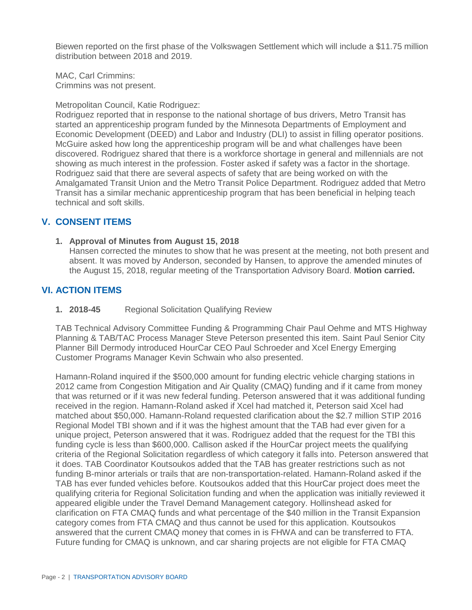Biewen reported on the first phase of the Volkswagen Settlement which will include a \$11.75 million distribution between 2018 and 2019.

MAC, Carl Crimmins: Crimmins was not present.

#### Metropolitan Council, Katie Rodriguez:

Rodriguez reported that in response to the national shortage of bus drivers, Metro Transit has started an apprenticeship program funded by the Minnesota Departments of Employment and Economic Development (DEED) and Labor and Industry (DLI) to assist in filling operator positions. McGuire asked how long the apprenticeship program will be and what challenges have been discovered. Rodriguez shared that there is a workforce shortage in general and millennials are not showing as much interest in the profession. Foster asked if safety was a factor in the shortage. Rodriguez said that there are several aspects of safety that are being worked on with the Amalgamated Transit Union and the Metro Transit Police Department. Rodriguez added that Metro Transit has a similar mechanic apprenticeship program that has been beneficial in helping teach technical and soft skills.

### **V. CONSENT ITEMS**

**1. Approval of Minutes from August 15, 2018**

Hansen corrected the minutes to show that he was present at the meeting, not both present and absent. It was moved by Anderson, seconded by Hansen, to approve the amended minutes of the August 15, 2018, regular meeting of the Transportation Advisory Board. **Motion carried.**

# **VI. ACTION ITEMS**

**1. 2018-45** Regional Solicitation Qualifying Review

TAB Technical Advisory Committee Funding & Programming Chair Paul Oehme and MTS Highway Planning & TAB/TAC Process Manager Steve Peterson presented this item. Saint Paul Senior City Planner Bill Dermody introduced HourCar CEO Paul Schroeder and Xcel Energy Emerging Customer Programs Manager Kevin Schwain who also presented.

Hamann-Roland inquired if the \$500,000 amount for funding electric vehicle charging stations in 2012 came from Congestion Mitigation and Air Quality (CMAQ) funding and if it came from money that was returned or if it was new federal funding. Peterson answered that it was additional funding received in the region. Hamann-Roland asked if Xcel had matched it, Peterson said Xcel had matched about \$50,000. Hamann-Roland requested clarification about the \$2.7 million STIP 2016 Regional Model TBI shown and if it was the highest amount that the TAB had ever given for a unique project, Peterson answered that it was. Rodriguez added that the request for the TBI this funding cycle is less than \$600,000. Callison asked if the HourCar project meets the qualifying criteria of the Regional Solicitation regardless of which category it falls into. Peterson answered that it does. TAB Coordinator Koutsoukos added that the TAB has greater restrictions such as not funding B-minor arterials or trails that are non-transportation-related. Hamann-Roland asked if the TAB has ever funded vehicles before. Koutsoukos added that this HourCar project does meet the qualifying criteria for Regional Solicitation funding and when the application was initially reviewed it appeared eligible under the Travel Demand Management category. Hollinshead asked for clarification on FTA CMAQ funds and what percentage of the \$40 million in the Transit Expansion category comes from FTA CMAQ and thus cannot be used for this application. Koutsoukos answered that the current CMAQ money that comes in is FHWA and can be transferred to FTA. Future funding for CMAQ is unknown, and car sharing projects are not eligible for FTA CMAQ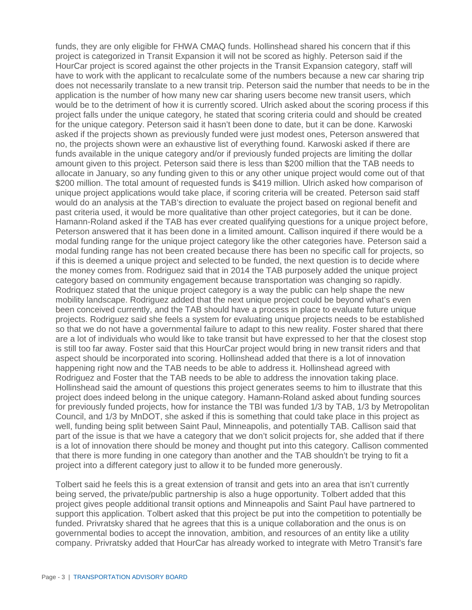funds, they are only eligible for FHWA CMAQ funds. Hollinshead shared his concern that if this project is categorized in Transit Expansion it will not be scored as highly. Peterson said if the HourCar project is scored against the other projects in the Transit Expansion category, staff will have to work with the applicant to recalculate some of the numbers because a new car sharing trip does not necessarily translate to a new transit trip. Peterson said the number that needs to be in the application is the number of how many new car sharing users become new transit users, which would be to the detriment of how it is currently scored. Ulrich asked about the scoring process if this project falls under the unique category, he stated that scoring criteria could and should be created for the unique category. Peterson said it hasn't been done to date, but it can be done. Karwoski asked if the projects shown as previously funded were just modest ones, Peterson answered that no, the projects shown were an exhaustive list of everything found. Karwoski asked if there are funds available in the unique category and/or if previously funded projects are limiting the dollar amount given to this project. Peterson said there is less than \$200 million that the TAB needs to allocate in January, so any funding given to this or any other unique project would come out of that \$200 million. The total amount of requested funds is \$419 million. Ulrich asked how comparison of unique project applications would take place, if scoring criteria will be created. Peterson said staff would do an analysis at the TAB's direction to evaluate the project based on regional benefit and past criteria used, it would be more qualitative than other project categories, but it can be done. Hamann-Roland asked if the TAB has ever created qualifying questions for a unique project before, Peterson answered that it has been done in a limited amount. Callison inquired if there would be a modal funding range for the unique project category like the other categories have. Peterson said a modal funding range has not been created because there has been no specific call for projects, so if this is deemed a unique project and selected to be funded, the next question is to decide where the money comes from. Rodriguez said that in 2014 the TAB purposely added the unique project category based on community engagement because transportation was changing so rapidly. Rodriquez stated that the unique project category is a way the public can help shape the new mobility landscape. Rodriguez added that the next unique project could be beyond what's even been conceived currently, and the TAB should have a process in place to evaluate future unique projects. Rodriguez said she feels a system for evaluating unique projects needs to be established so that we do not have a governmental failure to adapt to this new reality. Foster shared that there are a lot of individuals who would like to take transit but have expressed to her that the closest stop is still too far away. Foster said that this HourCar project would bring in new transit riders and that aspect should be incorporated into scoring. Hollinshead added that there is a lot of innovation happening right now and the TAB needs to be able to address it. Hollinshead agreed with Rodriguez and Foster that the TAB needs to be able to address the innovation taking place. Hollinshead said the amount of questions this project generates seems to him to illustrate that this project does indeed belong in the unique category. Hamann-Roland asked about funding sources for previously funded projects, how for instance the TBI was funded 1/3 by TAB, 1/3 by Metropolitan Council, and 1/3 by MnDOT, she asked if this is something that could take place in this project as well, funding being split between Saint Paul, Minneapolis, and potentially TAB. Callison said that part of the issue is that we have a category that we don't solicit projects for, she added that if there is a lot of innovation there should be money and thought put into this category. Callison commented that there is more funding in one category than another and the TAB shouldn't be trying to fit a project into a different category just to allow it to be funded more generously.

Tolbert said he feels this is a great extension of transit and gets into an area that isn't currently being served, the private/public partnership is also a huge opportunity. Tolbert added that this project gives people additional transit options and Minneapolis and Saint Paul have partnered to support this application. Tolbert asked that this project be put into the competition to potentially be funded. Privratsky shared that he agrees that this is a unique collaboration and the onus is on governmental bodies to accept the innovation, ambition, and resources of an entity like a utility company. Privratsky added that HourCar has already worked to integrate with Metro Transit's fare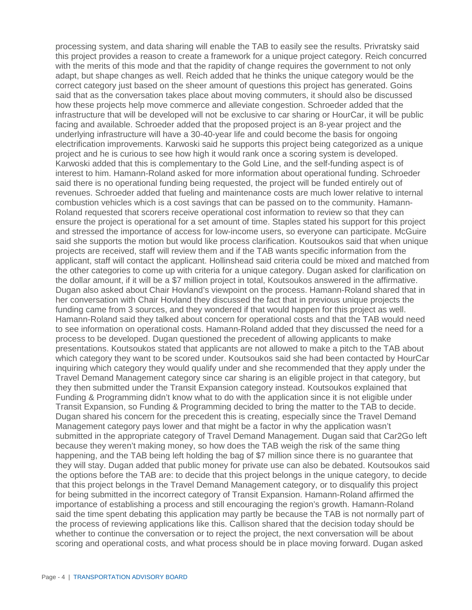processing system, and data sharing will enable the TAB to easily see the results. Privratsky said this project provides a reason to create a framework for a unique project category. Reich concurred with the merits of this mode and that the rapidity of change requires the government to not only adapt, but shape changes as well. Reich added that he thinks the unique category would be the correct category just based on the sheer amount of questions this project has generated. Goins said that as the conversation takes place about moving commuters, it should also be discussed how these projects help move commerce and alleviate congestion. Schroeder added that the infrastructure that will be developed will not be exclusive to car sharing or HourCar, it will be public facing and available. Schroeder added that the proposed project is an 8-year project and the underlying infrastructure will have a 30-40-year life and could become the basis for ongoing electrification improvements. Karwoski said he supports this project being categorized as a unique project and he is curious to see how high it would rank once a scoring system is developed. Karwoski added that this is complementary to the Gold Line, and the self-funding aspect is of interest to him. Hamann-Roland asked for more information about operational funding. Schroeder said there is no operational funding being requested, the project will be funded entirely out of revenues. Schroeder added that fueling and maintenance costs are much lower relative to internal combustion vehicles which is a cost savings that can be passed on to the community. Hamann-Roland requested that scorers receive operational cost information to review so that they can ensure the project is operational for a set amount of time. Staples stated his support for this project and stressed the importance of access for low-income users, so everyone can participate. McGuire said she supports the motion but would like process clarification. Koutsoukos said that when unique projects are received, staff will review them and if the TAB wants specific information from the applicant, staff will contact the applicant. Hollinshead said criteria could be mixed and matched from the other categories to come up with criteria for a unique category. Dugan asked for clarification on the dollar amount, if it will be a \$7 million project in total, Koutsoukos answered in the affirmative. Dugan also asked about Chair Hovland's viewpoint on the process. Hamann-Roland shared that in her conversation with Chair Hovland they discussed the fact that in previous unique projects the funding came from 3 sources, and they wondered if that would happen for this project as well. Hamann-Roland said they talked about concern for operational costs and that the TAB would need to see information on operational costs. Hamann-Roland added that they discussed the need for a process to be developed. Dugan questioned the precedent of allowing applicants to make presentations. Koutsoukos stated that applicants are not allowed to make a pitch to the TAB about which category they want to be scored under. Koutsoukos said she had been contacted by HourCar inquiring which category they would qualify under and she recommended that they apply under the Travel Demand Management category since car sharing is an eligible project in that category, but they then submitted under the Transit Expansion category instead. Koutsoukos explained that Funding & Programming didn't know what to do with the application since it is not eligible under Transit Expansion, so Funding & Programming decided to bring the matter to the TAB to decide. Dugan shared his concern for the precedent this is creating, especially since the Travel Demand Management category pays lower and that might be a factor in why the application wasn't submitted in the appropriate category of Travel Demand Management. Dugan said that Car2Go left because they weren't making money, so how does the TAB weigh the risk of the same thing happening, and the TAB being left holding the bag of \$7 million since there is no guarantee that they will stay. Dugan added that public money for private use can also be debated. Koutsoukos said the options before the TAB are: to decide that this project belongs in the unique category, to decide that this project belongs in the Travel Demand Management category, or to disqualify this project for being submitted in the incorrect category of Transit Expansion. Hamann-Roland affirmed the importance of establishing a process and still encouraging the region's growth. Hamann-Roland said the time spent debating this application may partly be because the TAB is not normally part of the process of reviewing applications like this. Callison shared that the decision today should be whether to continue the conversation or to reject the project, the next conversation will be about scoring and operational costs, and what process should be in place moving forward. Dugan asked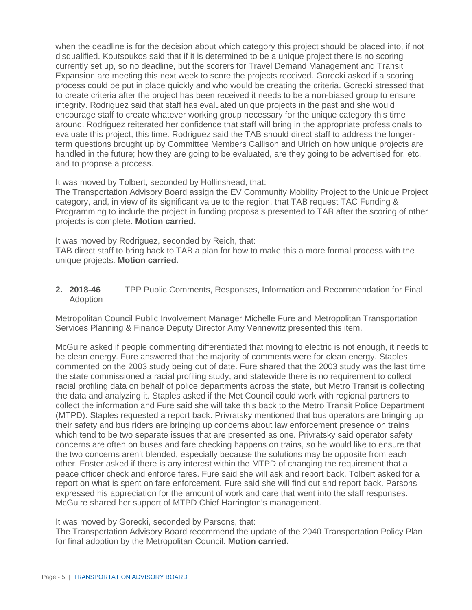when the deadline is for the decision about which category this project should be placed into, if not disqualified. Koutsoukos said that if it is determined to be a unique project there is no scoring currently set up, so no deadline, but the scorers for Travel Demand Management and Transit Expansion are meeting this next week to score the projects received. Gorecki asked if a scoring process could be put in place quickly and who would be creating the criteria. Gorecki stressed that to create criteria after the project has been received it needs to be a non-biased group to ensure integrity. Rodriguez said that staff has evaluated unique projects in the past and she would encourage staff to create whatever working group necessary for the unique category this time around. Rodriguez reiterated her confidence that staff will bring in the appropriate professionals to evaluate this project, this time. Rodriguez said the TAB should direct staff to address the longerterm questions brought up by Committee Members Callison and Ulrich on how unique projects are handled in the future; how they are going to be evaluated, are they going to be advertised for, etc. and to propose a process.

It was moved by Tolbert, seconded by Hollinshead, that:

The Transportation Advisory Board assign the EV Community Mobility Project to the Unique Project category, and, in view of its significant value to the region, that TAB request TAC Funding & Programming to include the project in funding proposals presented to TAB after the scoring of other projects is complete. **Motion carried.**

It was moved by Rodriguez, seconded by Reich, that:

TAB direct staff to bring back to TAB a plan for how to make this a more formal process with the unique projects. **Motion carried.**

**2. 2018-46** TPP Public Comments, Responses, Information and Recommendation for Final Adoption

Metropolitan Council Public Involvement Manager Michelle Fure and Metropolitan Transportation Services Planning & Finance Deputy Director Amy Vennewitz presented this item.

McGuire asked if people commenting differentiated that moving to electric is not enough, it needs to be clean energy. Fure answered that the majority of comments were for clean energy. Staples commented on the 2003 study being out of date. Fure shared that the 2003 study was the last time the state commissioned a racial profiling study, and statewide there is no requirement to collect racial profiling data on behalf of police departments across the state, but Metro Transit is collecting the data and analyzing it. Staples asked if the Met Council could work with regional partners to collect the information and Fure said she will take this back to the Metro Transit Police Department (MTPD). Staples requested a report back. Privratsky mentioned that bus operators are bringing up their safety and bus riders are bringing up concerns about law enforcement presence on trains which tend to be two separate issues that are presented as one. Privratsky said operator safety concerns are often on buses and fare checking happens on trains, so he would like to ensure that the two concerns aren't blended, especially because the solutions may be opposite from each other. Foster asked if there is any interest within the MTPD of changing the requirement that a peace officer check and enforce fares. Fure said she will ask and report back. Tolbert asked for a report on what is spent on fare enforcement. Fure said she will find out and report back. Parsons expressed his appreciation for the amount of work and care that went into the staff responses. McGuire shared her support of MTPD Chief Harrington's management.

It was moved by Gorecki, seconded by Parsons, that:

The Transportation Advisory Board recommend the update of the 2040 Transportation Policy Plan for final adoption by the Metropolitan Council. **Motion carried.**